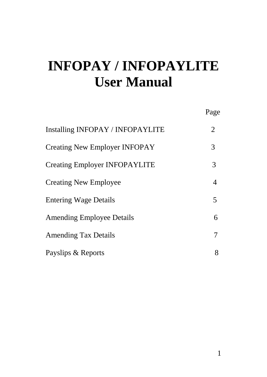# **INFOPAY / INFOPAYLITE User Manual**

|                                         | Page |
|-----------------------------------------|------|
| <b>Installing INFOPAY / INFOPAYLITE</b> | 2    |
| <b>Creating New Employer INFOPAY</b>    | 3    |
| Creating Employer INFOPAYLITE           | 3    |
| <b>Creating New Employee</b>            | 4    |
| <b>Entering Wage Details</b>            | 5    |
| <b>Amending Employee Details</b>        | 6    |
| <b>Amending Tax Details</b>             | 7    |
| Payslips & Reports                      | 8    |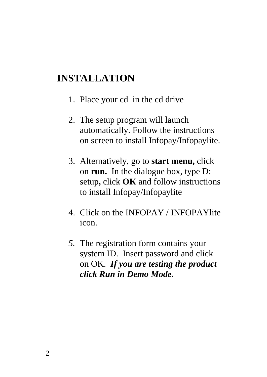#### **INSTALLATION**

- 1. Place your cd in the cd drive
- 2. The setup program will launch automatically. Follow the instructions on screen to install Infopay/Infopaylite.
- 3. Alternatively, go to **start menu,** click on **run.** In the dialogue box, type D: setup**,** click **OK** and follow instructions to install Infopay/Infopaylite
- 4. Click on the INFOPAY / INFOPAYlite icon.
- *5.* The registration form contains your system ID. Insert password and click on OK. *If you are testing the product click Run in Demo Mode.*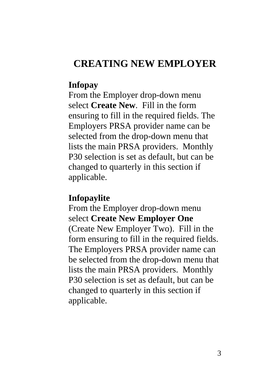#### **CREATING NEW EMPLOYER**

#### **Infopay**

From the Employer drop-down menu select **Create New**. Fill in the form ensuring to fill in the required fields. The Employers PRSA provider name can be selected from the drop-down menu that lists the main PRSA providers. Monthly P30 selection is set as default, but can be changed to quarterly in this section if applicable.

#### **Infopaylite**

From the Employer drop-down menu select **Create New Employer One** (Create New Employer Two). Fill in the form ensuring to fill in the required fields. The Employers PRSA provider name can be selected from the drop-down menu that lists the main PRSA providers. Monthly P30 selection is set as default, but can be changed to quarterly in this section if applicable.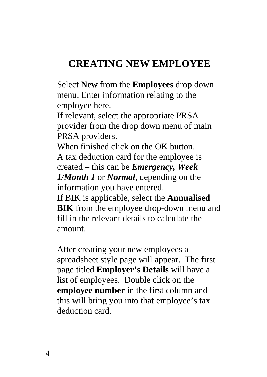### **CREATING NEW EMPLOYEE**

Select **New** from the **Employees** drop down menu. Enter information relating to the employee here.

If relevant, select the appropriate PRSA provider from the drop down menu of main PRSA providers.

When finished click on the OK button. A tax deduction card for the employee is created – this can be *Emergency, Week 1/Month 1* or *Normal,* depending on the information you have entered.

If BIK is applicable, select the **Annualised BIK** from the employee drop-down menu and fill in the relevant details to calculate the amount.

After creating your new employees a spreadsheet style page will appear. The first page titled **Employer's Details** will have a list of employees. Double click on the **employee number** in the first column and this will bring you into that employee's tax deduction card.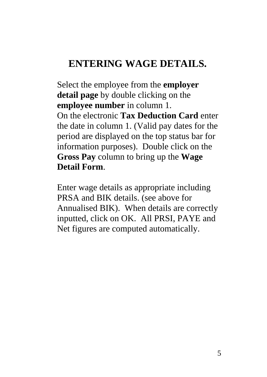#### **ENTERING WAGE DETAILS.**

Select the employee from the **employer detail page** by double clicking on the **employee number** in column 1. On the electronic **Tax Deduction Card** enter the date in column 1. (Valid pay dates for the period are displayed on the top status bar for information purposes). Double click on the **Gross Pay** column to bring up the **Wage Detail Form**.

Enter wage details as appropriate including PRSA and BIK details. (see above for Annualised BIK). When details are correctly inputted, click on OK. All PRSI, PAYE and Net figures are computed automatically.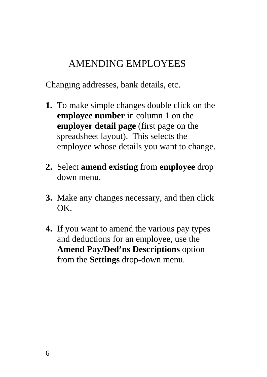#### AMENDING EMPLOYEES

Changing addresses, bank details, etc.

- **1.** To make simple changes double click on the **employee number** in column 1 on the **employer detail page** (first page on the spreadsheet layout). This selects the employee whose details you want to change.
- **2.** Select **amend existing** from **employee** drop down menu.
- **3.** Make any changes necessary, and then click OK.
- **4.** If you want to amend the various pay types and deductions for an employee, use the **Amend Pay/Ded'ns Descriptions** option from the **Settings** drop-down menu.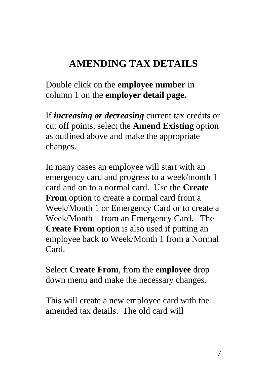### **AMENDING TAX DETAILS**

Double click on the **employee number** in column 1 on the **employer detail page.**

If *increasing or decreasing* current tax credits or cut off points, select the **Amend Existing** option as outlined above and make the appropriate changes.

In many cases an employee will start with an emergency card and progress to a week/month 1 card and on to a normal card. Use the **Create From** option to create a normal card from a Week/Month 1 or Emergency Card or to create a Week/Month 1 from an Emergency Card. The **Create From** option is also used if putting an employee back to Week/Month 1 from a Normal Card.

Select **Create From**, from the **employee** drop down menu and make the necessary changes.

This will create a new employee card with the amended tax details. The old card will